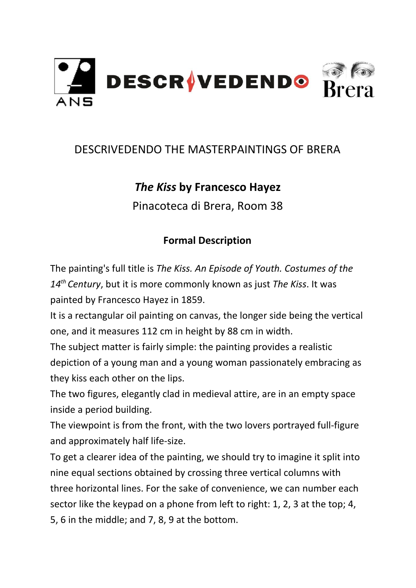

## DESCRIVEDENDO THE MASTERPAINTINGS OF BRERA

## *The Kiss* **by Francesco Hayez**

Pinacoteca di Brera, Room 38

## **Formal Description**

The painting's full title is *The Kiss. An Episode of Youth. Costumes of the 14th Century*, but it is more commonly known as just *The Kiss*. It was painted by Francesco Hayez in 1859.

It is a rectangular oil painting on canvas, the longer side being the vertical one, and it measures 112 cm in height by 88 cm in width.

The subject matter is fairly simple: the painting provides a realistic depiction of a young man and a young woman passionately embracing as they kiss each other on the lips.

The two figures, elegantly clad in medieval attire, are in an empty space inside a period building.

The viewpoint is from the front, with the two lovers portrayed full-figure and approximately half life-size.

To get a clearer idea of the painting, we should try to imagine it split into nine equal sections obtained by crossing three vertical columns with three horizontal lines. For the sake of convenience, we can number each sector like the keypad on a phone from left to right: 1, 2, 3 at the top; 4, 5, 6 in the middle; and 7, 8, 9 at the bottom.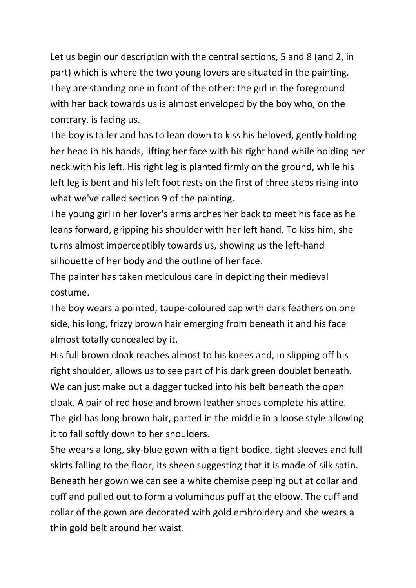Let us begin our description with the central sections, 5 and 8 (and 2, in part) which is where the two young lovers are situated in the painting. They are standing one in front of the other: the girl in the foreground with her back towards us is almost enveloped by the boy who, on the contrary, is facing us.

The boy is taller and has to lean down to kiss his beloved, gently holding her head in his hands, lifting her face with his right hand while holding her neck with his left. His right leg is planted firmly on the ground, while his left leg is bent and his left foot rests on the first of three steps rising into what we've called section 9 of the painting.

The young girl in her lover's arms arches her back to meet his face as he leans forward, gripping his shoulder with her left hand. To kiss him, she turns almost imperceptibly towards us, showing us the left-hand silhouette of her body and the outline of her face.

The painter has taken meticulous care in depicting their medieval costume.

The boy wears a pointed, taupe-coloured cap with dark feathers on one side, his long, frizzy brown hair emerging from beneath it and his face almost totally concealed by it.

His full brown cloak reaches almost to his knees and, in slipping off his right shoulder, allows us to see part of his dark green doublet beneath. We can just make out a dagger tucked into his belt beneath the open cloak. A pair of red hose and brown leather shoes complete his attire. The girl has long brown hair, parted in the middle in a loose style allowing it to fall softly down to her shoulders.

She wears a long, sky-blue gown with a tight bodice, tight sleeves and full skirts falling to the floor, its sheen suggesting that it is made of silk satin. Beneath her gown we can see a white chemise peeping out at collar and cuff and pulled out to form a voluminous puff at the elbow. The cuff and collar of the gown are decorated with gold embroidery and she wears a thin gold belt around her waist.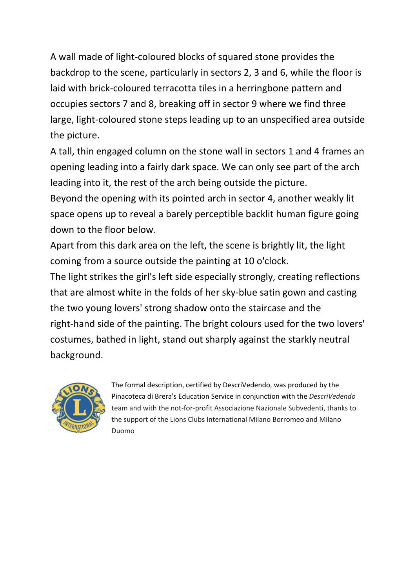A wall made of light-coloured blocks of squared stone provides the backdrop to the scene, particularly in sectors 2, 3 and 6, while the floor is laid with brick-coloured terracotta tiles in a herringbone pattern and occupies sectors 7 and 8, breaking off in sector 9 where we find three large, light-coloured stone steps leading up to an unspecified area outside the picture.

A tall, thin engaged column on the stone wall in sectors 1 and 4 frames an opening leading into a fairly dark space. We can only see part of the arch leading into it, the rest of the arch being outside the picture.

Beyond the opening with its pointed arch in sector 4, another weakly lit space opens up to reveal a barely perceptible backlit human figure going down to the floor below.

Apart from this dark area on the left, the scene is brightly lit, the light coming from a source outside the painting at 10 o'clock.

The light strikes the girl's left side especially strongly, creating reflections that are almost white in the folds of her sky-blue satin gown and casting the two young lovers' strong shadow onto the staircase and the right-hand side of the painting. The bright colours used for the two lovers' costumes, bathed in light, stand out sharply against the starkly neutral background.



The formal description, certified by DescriVedendo, was produced by the Pinacoteca di Brera's Education Service in conjunction with the *DescriVedendo* team and with the not-for-profit Associazione Nazionale Subvedenti, thanks to the support of the Lions Clubs International Milano Borromeo and Milano Duomo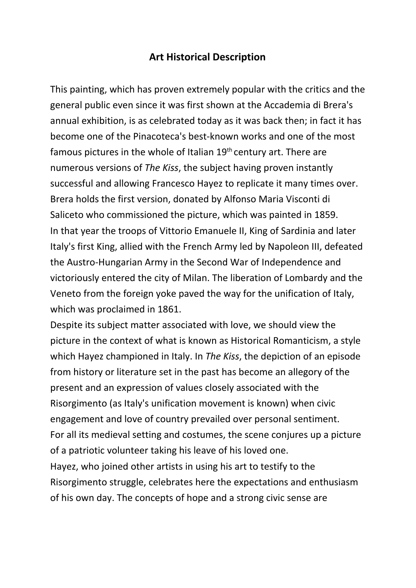## **Art Historical Description**

This painting, which has proven extremely popular with the critics and the general public even since it was first shown at the Accademia di Brera's annual exhibition, is as celebrated today as it was back then; in fact it has become one of the Pinacoteca's best-known works and one of the most famous pictures in the whole of Italian  $19<sup>th</sup>$  century art. There are numerous versions of *The Kiss*, the subject having proven instantly successful and allowing Francesco Hayez to replicate it many times over. Brera holds the first version, donated by Alfonso Maria Visconti di Saliceto who commissioned the picture, which was painted in 1859. In that year the troops of Vittorio Emanuele II, King of Sardinia and later Italy's first King, allied with the French Army led by Napoleon III, defeated the Austro-Hungarian Army in the Second War of Independence and victoriously entered the city of Milan. The liberation of Lombardy and the Veneto from the foreign yoke paved the way for the unification of Italy, which was proclaimed in 1861.

Despite its subject matter associated with love, we should view the picture in the context of what is known as Historical Romanticism, a style which Hayez championed in Italy. In *The Kiss*, the depiction of an episode from history or literature set in the past has become an allegory of the present and an expression of values closely associated with the Risorgimento (as Italy's unification movement is known) when civic engagement and love of country prevailed over personal sentiment. For all its medieval setting and costumes, the scene conjures up a picture of a patriotic volunteer taking his leave of his loved one. Hayez, who joined other artists in using his art to testify to the Risorgimento struggle, celebrates here the expectations and enthusiasm of his own day. The concepts of hope and a strong civic sense are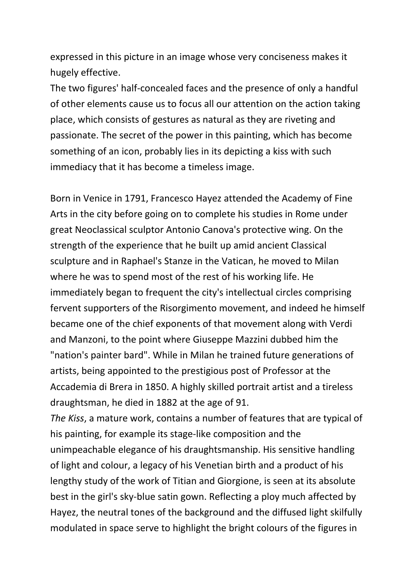expressed in this picture in an image whose very conciseness makes it hugely effective.

The two figures' half-concealed faces and the presence of only a handful of other elements cause us to focus all our attention on the action taking place, which consists of gestures as natural as they are riveting and passionate. The secret of the power in this painting, which has become something of an icon, probably lies in its depicting a kiss with such immediacy that it has become a timeless image.

Born in Venice in 1791, Francesco Hayez attended the Academy of Fine Arts in the city before going on to complete his studies in [Rome](http://www.treccani.it/enciclopedia/roma/) under great Neoclassical sculptor Antonio Canova's protective wing. On the strength of the experience that he built up amid ancient Classical sculpture and in Raphael's Stanze in the Vatican, he moved to Milan where he was to spend most of the rest of his working life. He immediately began to frequent the city's intellectual circles comprising fervent supporters of the Risorgimento movement, and indeed he himself became one of the chief exponents of that movement along with Verdi and Manzoni, to the point where Giuseppe Mazzini dubbed him the "nation's painter bard". While in Milan he trained future generations of artists, being appointed to the prestigious post of Professor at the Accademia di Brera in 1850. A highly skilled portrait artist and a tireless draughtsman, he died in 1882 at the age of 91.

*The Kiss*, a mature work, contains a number of features that are typical of his painting, for example its stage-like composition and the unimpeachable elegance of his draughtsmanship. His sensitive handling of light and colour, a legacy of his Venetian birth and a product of his lengthy study of the work of Titian and Giorgione, is seen at its absolute best in the girl's sky-blue satin gown. Reflecting a ploy much affected by Hayez, the neutral tones of the background and the diffused light skilfully modulated in space serve to highlight the bright colours of the figures in